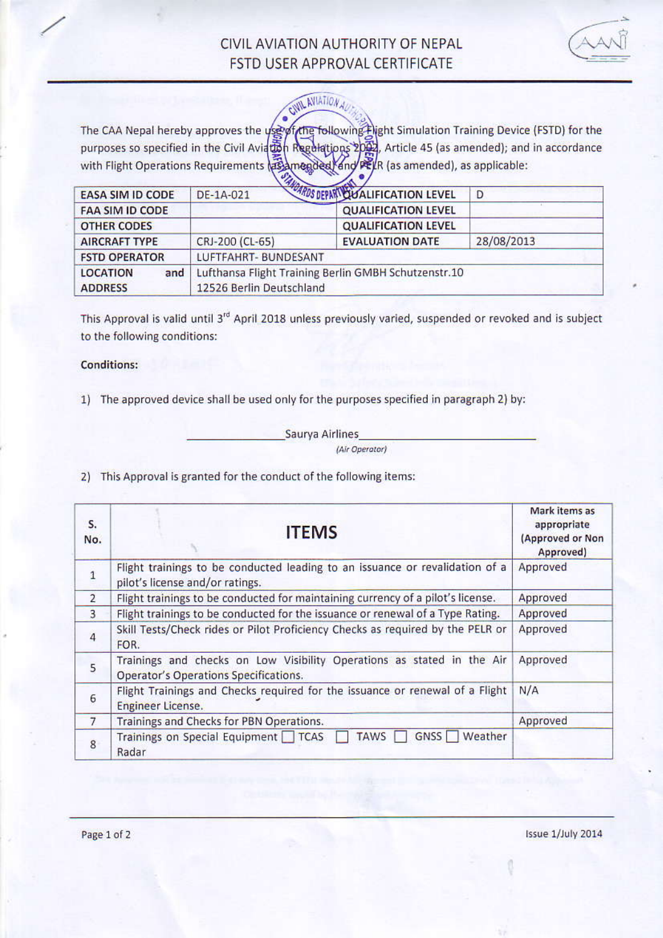## CIVIL AVIATION AUTHORITY OF NEPAL FSTD USER APPROVAL CERTIFICATE



**CIVIL AVIATION** 

The CAA Nepal hereby approves the *use of the following. Hight Simulation Training Device (FSTD)* for the purposes so specified in the Civil Aviaton Regulations 2024, Article 45 (as amended); and in accordance mended and PELR (as amended), as applicable: with Flight Operations Requirements as

|                         | $\mathcal{H}$                                        |                                         |            |
|-------------------------|------------------------------------------------------|-----------------------------------------|------------|
| <b>EASA SIM ID CODE</b> | DE-1A-021                                            | <b>ARDS DEPART OU ALIFICATION LEVEL</b> | Ð          |
| <b>FAA SIM ID CODE</b>  |                                                      | <b>QUALIFICATION LEVEL</b>              |            |
| <b>OTHER CODES</b>      |                                                      | <b>QUALIFICATION LEVEL</b>              |            |
| <b>AIRCRAFT TYPE</b>    | CRJ-200 (CL-65)                                      | <b>EVALUATION DATE</b>                  | 28/08/2013 |
| <b>FSTD OPERATOR</b>    | LUFTFAHRT- BUNDESANT                                 |                                         |            |
| <b>LOCATION</b><br>and  | Lufthansa Flight Training Berlin GMBH Schutzenstr.10 |                                         |            |
| <b>ADDRESS</b>          | 12526 Berlin Deutschland                             |                                         |            |

This Approval is valid until 3<sup>rd</sup> April 2018 unless previously varied, suspended or revoked and is subject to the following conditions:

## **Conditions:**

1) The approved device shall be used only for the purposes specified in paragraph 2) by:

Saurya Airlines (Air Operator)

2) This Approval is granted for the conduct of the following items:

| S.<br>No.      | <b>ITEMS</b>                                                                                                           | Mark items as<br>appropriate<br>(Approved or Non<br>Approved) |
|----------------|------------------------------------------------------------------------------------------------------------------------|---------------------------------------------------------------|
| $\mathbf 1$    | Flight trainings to be conducted leading to an issuance or revalidation of a<br>pilot's license and/or ratings.        | Approved                                                      |
| $\overline{2}$ | Flight trainings to be conducted for maintaining currency of a pilot's license.                                        | Approved                                                      |
| 3              | Flight trainings to be conducted for the issuance or renewal of a Type Rating.                                         | Approved                                                      |
| $\overline{4}$ | Skill Tests/Check rides or Pilot Proficiency Checks as required by the PELR or<br>FOR.                                 | Approved                                                      |
| 5              | Trainings and checks on Low Visibility Operations as stated in the Air<br><b>Operator's Operations Specifications.</b> | Approved                                                      |
| 6              | Flight Trainings and Checks required for the issuance or renewal of a Flight<br>Engineer License.                      | N/A                                                           |
| $\overline{7}$ | Trainings and Checks for PBN Operations.                                                                               | Approved                                                      |
| 8              | GNSS <sup>T</sup><br>Trainings on Special Equipment TCAS<br><b>TAWS</b><br>Weather<br>Radar                            |                                                               |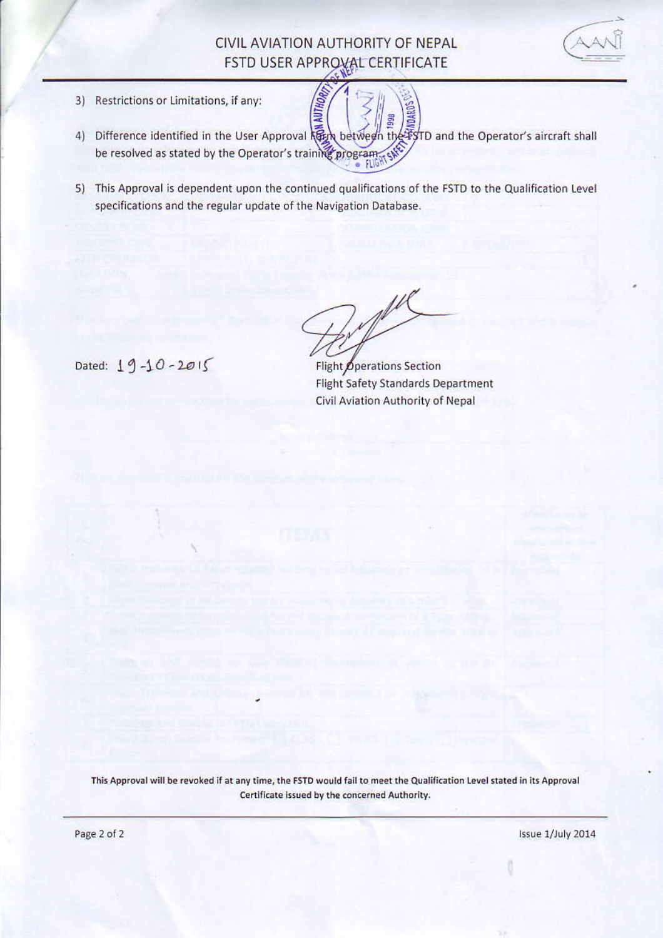## CIVIL AVIATION AUTHORITY OF NEPAL FSTD USER APPROVAL CERTIFICATE



- $3)$ Restrictions or Limitations, if any:
- Difference identified in the User Approval keep between the FyTD and the Operator's aircraft shall  $4)$ be resolved as stated by the Operator's training program
- 5) This Approval is dependent upon the continued qualifications of the FSTD to the Qualification Level specifications and the regular update of the Navigation Database.

Dated:  $19 - 10 - 2015$ 

 $\mathbb{A}^{\mu}$ 

Flight Operations Section **Flight Safety Standards Department** Civil Aviation Authority of Nepal

This Approval will be revoked if at any time, the FSTD would fail to meet the Qualification Level stated in its Approval Certificate issued by the concerned Authority.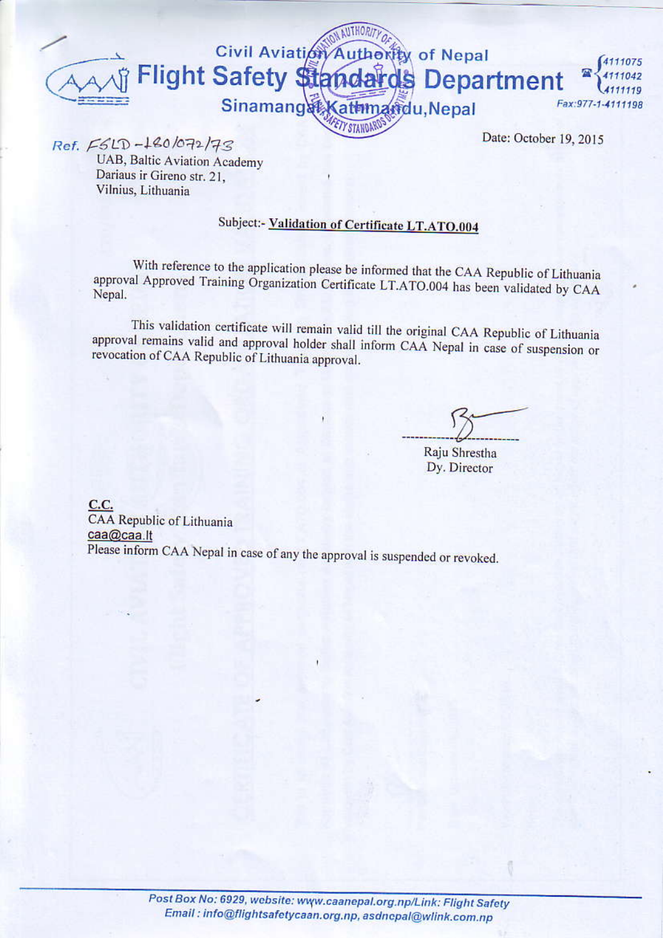

Ref. ESLD-180/072/73

UAB, Baltic Aviation Academy Dariaus ir Gireno str. 21. Vilnius, Lithuania

## Subject:- Validation of Certificate LT.ATO.004

With reference to the application please be informed that the CAA Republic of Lithuania approval Approved Training Organization Certificate LT.ATO.004 has been validated by CAA Nepal.

This validation certificate will remain valid till the original CAA Republic of Lithuania approval remains valid and approval holder shall inform CAA Nepal in case of suspension or revocation of CAA Republic of Lithuania approval.

Raju Shrestha Dy. Director

C.C. CAA Republic of Lithuania caa@caa.lt Please inform CAA Nepal in case of any the approval is suspended or revoked.